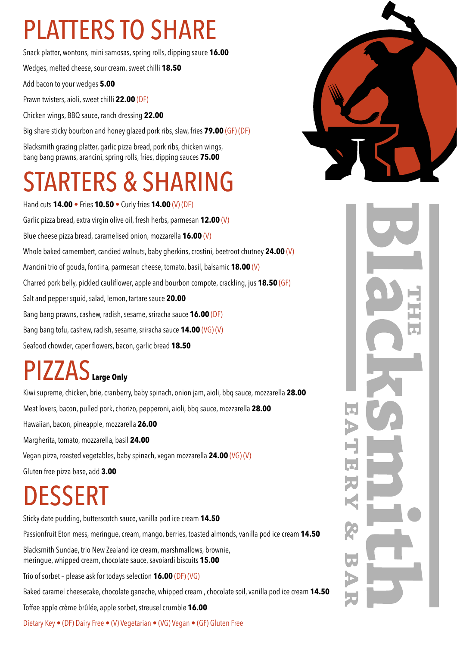# PLATTERS TO SHARE

Snack platter, wontons, mini samosas, spring rolls, dipping sauce **16.00**

Wedges, melted cheese, sour cream, sweet chilli **18.50**

Add bacon to your wedges **5.00**

Prawn twisters, aioli, sweet chilli **22.00** (DF)

Chicken wings, BBQ sauce, ranch dressing **22.00**

Big share sticky bourbon and honey glazed pork ribs, slaw, fries **79.00** (GF) (DF)

Blacksmith grazing platter, garlic pizza bread, pork ribs, chicken wings, bang bang prawns, arancini, spring rolls, fries, dipping sauces **75.00**

### ARTERS & SHARING

Hand cuts **14.00** • Fries **10.50** • Curly fries **14.00** (V) (DF) Garlic pizza bread, extra virgin olive oil, fresh herbs, parmesan **12.00** (V) Blue cheese pizza bread, caramelised onion, mozzarella **16.00** (V) Whole baked camembert, candied walnuts, baby gherkins, crostini, beetroot chutney **24.00** (V) Arancini trio of gouda, fontina, parmesan cheese, tomato, basil, balsamic **18.00** (V) Charred pork belly, pickled cauliflower, apple and bourbon compote, crackling, jus **18.50** (GF) Salt and pepper squid, salad, lemon, tartare sauce **20.00** Bang bang prawns, cashew, radish, sesame, sriracha sauce **16.00** (DF) Bang bang tofu, cashew, radish, sesame, sriracha sauce **14.00** (VG) (V) Seafood chowder, caper flowers, bacon, garlic bread **18.50**

#### PIZZAS**Large Only**

Kiwi supreme, chicken, brie, cranberry, baby spinach, onion jam, aioli, bbq sauce, mozzarella **28.00** Meat lovers, bacon, pulled pork, chorizo, pepperoni, aioli, bbq sauce, mozzarella **28.00** Hawaiian, bacon, pineapple, mozzarella **26.00** Margherita, tomato, mozzarella, basil **24.00** Vegan pizza, roasted vegetables, baby spinach, vegan mozzarella **24.00** (VG) (V) Gluten free pizza base, add **3.00**

# DESSERT

Sticky date pudding, butterscotch sauce, vanilla pod ice cream **14.50**

Passionfruit Eton mess, meringue, cream, mango, berries, toasted almonds, vanilla pod ice cream **14.50**

Blacksmith Sundae, trio New Zealand ice cream, marshmallows, brownie, meringue, whipped cream, chocolate sauce, savoiardi biscuits **15.00**

Trio of sorbet – please ask for todays selection **16.00** (DF) (VG)

Baked caramel cheesecake, chocolate ganache, whipped cream , chocolate soil, vanilla pod ice cream **14.50**

Toffee apple crème brûlée, apple sorbet, streusel crumble **16.00**

Dietary Key • (DF) Dairy Free • (V) Vegetarian • (VG) Vegan • (GF) Gluten Free